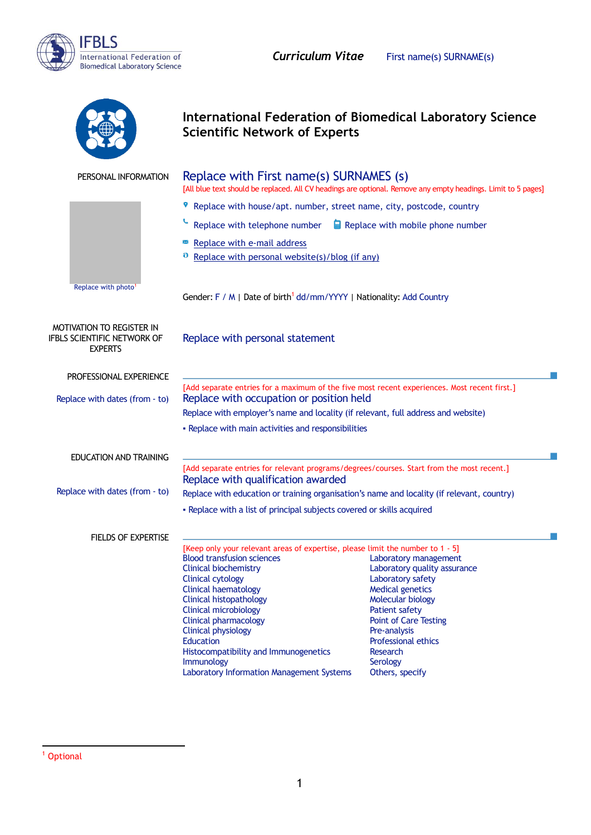

|                                                                                   | <b>International Federation of Biomedical Laboratory Science</b><br><b>Scientific Network of Experts</b>                                                                                                                                                                                                                                                                                                                                                        |                                                                                                                                                                                                                                                                       |
|-----------------------------------------------------------------------------------|-----------------------------------------------------------------------------------------------------------------------------------------------------------------------------------------------------------------------------------------------------------------------------------------------------------------------------------------------------------------------------------------------------------------------------------------------------------------|-----------------------------------------------------------------------------------------------------------------------------------------------------------------------------------------------------------------------------------------------------------------------|
| PERSONAL INFORMATION                                                              | Replace with First name(s) SURNAMES (s)<br>[All blue text should be replaced. All CV headings are optional. Remove any empty headings. Limit to 5 pages]                                                                                                                                                                                                                                                                                                        |                                                                                                                                                                                                                                                                       |
|                                                                                   | Replace with house/apt. number, street name, city, postcode, country                                                                                                                                                                                                                                                                                                                                                                                            |                                                                                                                                                                                                                                                                       |
|                                                                                   | Replace with telephone number<br>Replace with mobile phone number                                                                                                                                                                                                                                                                                                                                                                                               |                                                                                                                                                                                                                                                                       |
|                                                                                   | Replace with e-mail address                                                                                                                                                                                                                                                                                                                                                                                                                                     |                                                                                                                                                                                                                                                                       |
|                                                                                   | Replace with personal website(s)/blog (if any)                                                                                                                                                                                                                                                                                                                                                                                                                  |                                                                                                                                                                                                                                                                       |
| Replace with photo <sup>1</sup>                                                   |                                                                                                                                                                                                                                                                                                                                                                                                                                                                 |                                                                                                                                                                                                                                                                       |
|                                                                                   | Gender: F / M   Date of birth <sup>1</sup> dd/mm/YYYY   Nationality: Add Country                                                                                                                                                                                                                                                                                                                                                                                |                                                                                                                                                                                                                                                                       |
| <b>MOTIVATION TO REGISTER IN</b><br>IFBLS SCIENTIFIC NETWORK OF<br><b>EXPERTS</b> | Replace with personal statement                                                                                                                                                                                                                                                                                                                                                                                                                                 |                                                                                                                                                                                                                                                                       |
| PROFESSIONAL EXPERIENCE                                                           |                                                                                                                                                                                                                                                                                                                                                                                                                                                                 |                                                                                                                                                                                                                                                                       |
| Replace with dates (from - to)                                                    | [Add separate entries for a maximum of the five most recent experiences. Most recent first.]<br>Replace with occupation or position held                                                                                                                                                                                                                                                                                                                        |                                                                                                                                                                                                                                                                       |
|                                                                                   | Replace with employer's name and locality (if relevant, full address and website)                                                                                                                                                                                                                                                                                                                                                                               |                                                                                                                                                                                                                                                                       |
|                                                                                   | - Replace with main activities and responsibilities                                                                                                                                                                                                                                                                                                                                                                                                             |                                                                                                                                                                                                                                                                       |
| <b>EDUCATION AND TRAINING</b>                                                     |                                                                                                                                                                                                                                                                                                                                                                                                                                                                 |                                                                                                                                                                                                                                                                       |
|                                                                                   | [Add separate entries for relevant programs/degrees/courses. Start from the most recent.]                                                                                                                                                                                                                                                                                                                                                                       |                                                                                                                                                                                                                                                                       |
| Replace with dates (from - to)                                                    | Replace with qualification awarded<br>Replace with education or training organisation's name and locality (if relevant, country)                                                                                                                                                                                                                                                                                                                                |                                                                                                                                                                                                                                                                       |
|                                                                                   | - Replace with a list of principal subjects covered or skills acquired                                                                                                                                                                                                                                                                                                                                                                                          |                                                                                                                                                                                                                                                                       |
|                                                                                   |                                                                                                                                                                                                                                                                                                                                                                                                                                                                 |                                                                                                                                                                                                                                                                       |
| FIELDS OF EXPERTISE                                                               | [Keep only your relevant areas of expertise, please limit the number to 1 - 5]<br><b>Blood transfusion sciences</b><br><b>Clinical biochemistry</b><br><b>Clinical cytology</b><br><b>Clinical haematology</b><br><b>Clinical histopathology</b><br><b>Clinical microbiology</b><br><b>Clinical pharmacology</b><br><b>Clinical physiology</b><br>Education<br>Histocompatibility and Immunogenetics<br>Immunology<br>Laboratory Information Management Systems | Laboratory management<br>Laboratory quality assurance<br>Laboratory safety<br><b>Medical genetics</b><br>Molecular biology<br><b>Patient safety</b><br><b>Point of Care Testing</b><br>Pre-analysis<br>Professional ethics<br>Research<br>Serology<br>Others, specify |

 $\overline{a}$ <sup>1</sup> Optional